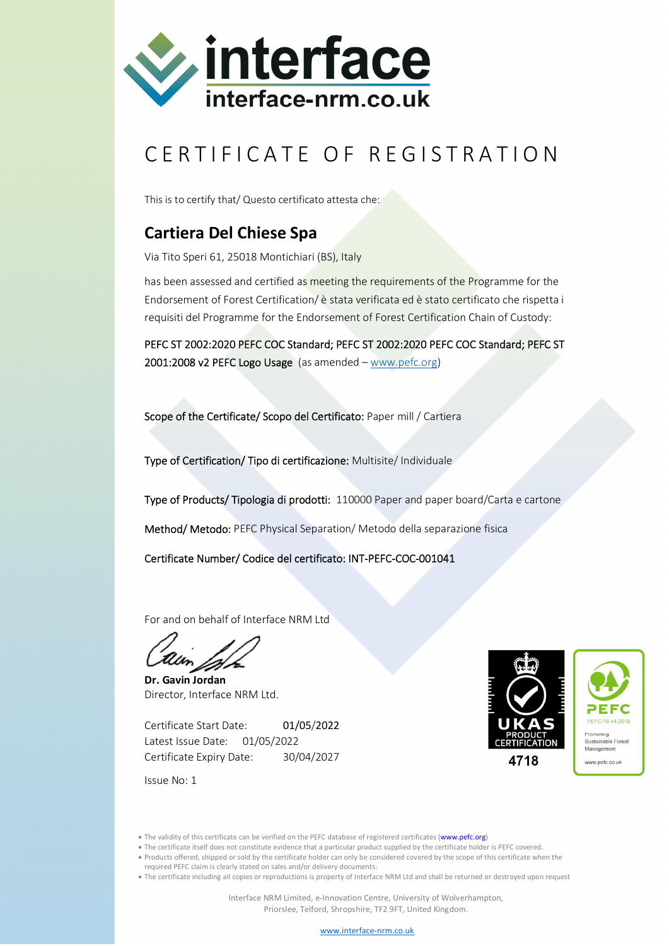

## CERTIFICATE OF REGISTRATION

This is to certify that/ Questo certificato attesta che:

## **Cartiera Del Chiese Spa**

Via Tito Speri 61, 25018 Montichiari (BS), Italy

has been assessed and certified as meeting the requirements of the Programme for the Endorsement of Forest Certification/ è stata verificata ed è stato certificato che rispetta i requisiti del Programme for the Endorsement of Forest Certification Chain of Custody:

PEFC ST 2002:2020 PEFC COC Standard; PEFC ST 2002:2020 PEFC COC Standard; PEFC ST 2001:2008 v2 PEFC Logo Usage (as amended – www.pefc.org)

Scope of the Certificate/ Scopo del Certificato: Paper mill / Cartiera

Type of Certification/ Tipo di certificazione: Multisite/ Individuale

Type of Products/ Tipologia di prodotti: 110000 Paper and paper board/Carta e cartone

Method/ Metodo: PEFC Physical Separation/ Metodo della separazione fisica

Certificate Number/ Codice del certificato: INT-PEFC-COC-001041

For and on behalf of Interface NRM Ltd

**Dr. Gavin Jordan** Director, Interface NRM Ltd.

Certificate Start Date: 01/05/2022 Latest Issue Date: 01/05/2022 Certificate Expiry Date: 30/04/2027



Issue No: 1

• The validity of this certificate can be verified on the PEFC database of registered certificates (www.pefc.org)

- The certificate itself does not constitute evidence that a particular product supplied by the certificate holder is PEFC covered.
- Products offered, shipped or sold by the certificate holder can only be considered covered by the scope of this certificate when the
- required PEFC claim is clearly stated on sales and/or delivery documents.

The certificate including all copies or reproductions is property of Interface NRM Ltd and shall be returned or destroyed upon request

www.interface-nrm.co.uk